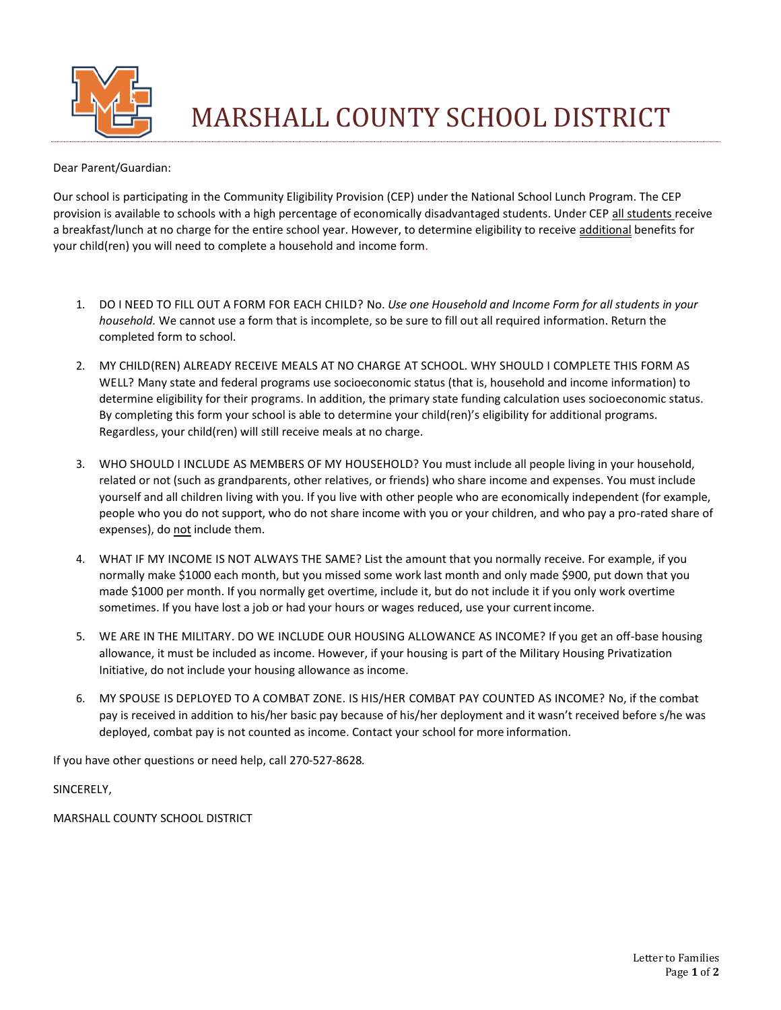

MARSHALL COUNTY SCHOOL DISTRICT

Dear Parent/Guardian:

Our school is participating in the Community Eligibility Provision (CEP) under the National School Lunch Program. The CEP provision is available to schools with a high percentage of economically disadvantaged students. Under CEP all students receive a breakfast/lunch at no charge for the entire school year. However, to determine eligibility to receive additional benefits for your child(ren) you will need to complete a household and income form.

- 1. DO I NEED TO FILL OUT A FORM FOR EACH CHILD? No. *Use one Household and Income Form for all students in your household.* We cannot use a form that is incomplete, so be sure to fill out all required information. Return the completed form to school.
- 2. MY CHILD(REN) ALREADY RECEIVE MEALS AT NO CHARGE AT SCHOOL. WHY SHOULD I COMPLETE THIS FORM AS WELL? Many state and federal programs use socioeconomic status (that is, household and income information) to determine eligibility for their programs. In addition, the primary state funding calculation uses socioeconomic status. By completing this form your school is able to determine your child(ren)'s eligibility for additional programs. Regardless, your child(ren) will still receive meals at no charge.
- 3. WHO SHOULD I INCLUDE AS MEMBERS OF MY HOUSEHOLD? You must include all people living in your household, related or not (such as grandparents, other relatives, or friends) who share income and expenses. You must include yourself and all children living with you. If you live with other people who are economically independent (for example, people who you do not support, who do not share income with you or your children, and who pay a pro-rated share of expenses), do not include them.
- 4. WHAT IF MY INCOME IS NOT ALWAYS THE SAME? List the amount that you normally receive. For example, if you normally make \$1000 each month, but you missed some work last month and only made \$900, put down that you made \$1000 per month. If you normally get overtime, include it, but do not include it if you only work overtime sometimes. If you have lost a job or had your hours or wages reduced, use your currentincome.
- 5. WE ARE IN THE MILITARY. DO WE INCLUDE OUR HOUSING ALLOWANCE AS INCOME? If you get an off-base housing allowance, it must be included as income. However, if your housing is part of the Military Housing Privatization Initiative, do not include your housing allowance as income.
- 6. MY SPOUSE IS DEPLOYED TO A COMBAT ZONE. IS HIS/HER COMBAT PAY COUNTED AS INCOME? No, if the combat pay is received in addition to his/her basic pay because of his/her deployment and it wasn't received before s/he was deployed, combat pay is not counted as income. Contact your school for more information.

If you have other questions or need help, call 270-527-8628*.*

SINCERELY,

MARSHALL COUNTY SCHOOL DISTRICT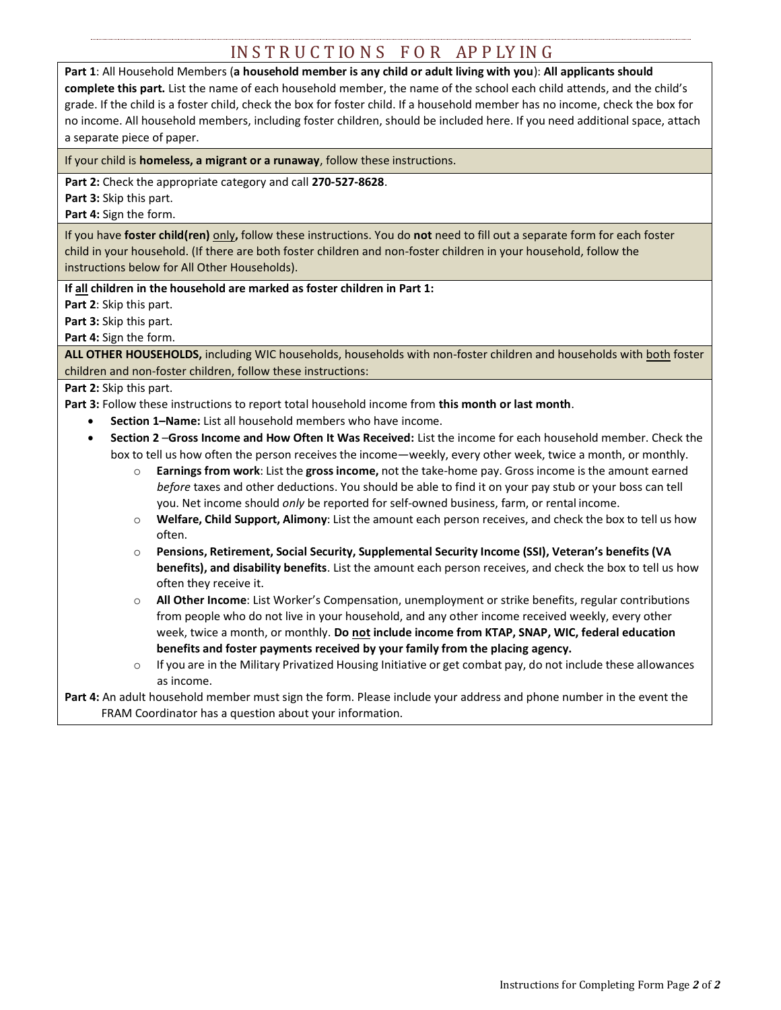# IN S T R U C T IO N S F O R AP P LY IN G

**Part 1**: All Household Members (**a household member is any child or adult living with you**): **All applicants should complete this part.** List the name of each household member, the name of the school each child attends, and the child's grade. If the child is a foster child, check the box for foster child. If a household member has no income, check the box for no income. All household members, including foster children, should be included here. If you need additional space, attach a separate piece of paper.

If your child is **homeless, a migrant or a runaway**, follow these instructions.

**Part 2:** Check the appropriate category and call **270-527-8628**.

**Part 3:** Skip this part.

**Part 4:** Sign the form.

If you have **foster child(ren)** only**,** follow these instructions. You do **not** need to fill out a separate form for each foster child in your household. (If there are both foster children and non-foster children in your household, follow the instructions below for All Other Households).

**If all children in the household are marked as foster children in Part 1:** 

**Part 2**: Skip this part.

**Part 3:** Skip this part.

**Part 4:** Sign the form.

**ALL OTHER HOUSEHOLDS,** including WIC households, households with non-foster children and households with both foster children and non-foster children, follow these instructions:

### Part 2: Skip this part.

**Part 3:** Follow these instructions to report total household income from **this month or last month**.

- **Section 1–Name:** List all household members who have income.
- **Section 2** –**Gross Income and How Often It Was Received:** List the income for each household member. Check the box to tell us how often the person receives the income—weekly, every other week, twice a month, or monthly.
	- o **Earnings from work**: List the **gross income,** not the take-home pay. Gross income is the amount earned *before* taxes and other deductions. You should be able to find it on your pay stub or your boss can tell you. Net income should *only* be reported for self-owned business, farm, or rental income.
	- o **Welfare, Child Support, Alimony**: List the amount each person receives, and check the box to tell us how often.
	- o **Pensions, Retirement, Social Security, Supplemental Security Income (SSI), Veteran's benefits (VA benefits), and disability benefits**. List the amount each person receives, and check the box to tell us how often they receive it.
	- o **All Other Income**: List Worker's Compensation, unemployment or strike benefits, regular contributions from people who do not live in your household, and any other income received weekly, every other week, twice a month, or monthly. **Do not include income from KTAP, SNAP, WIC, federal education benefits and foster payments received by your family from the placing agency.**
	- If you are in the Military Privatized Housing Initiative or get combat pay, do not include these allowances as income.

**Part 4:** An adult household member must sign the form. Please include your address and phone number in the event the FRAM Coordinator has a question about your information.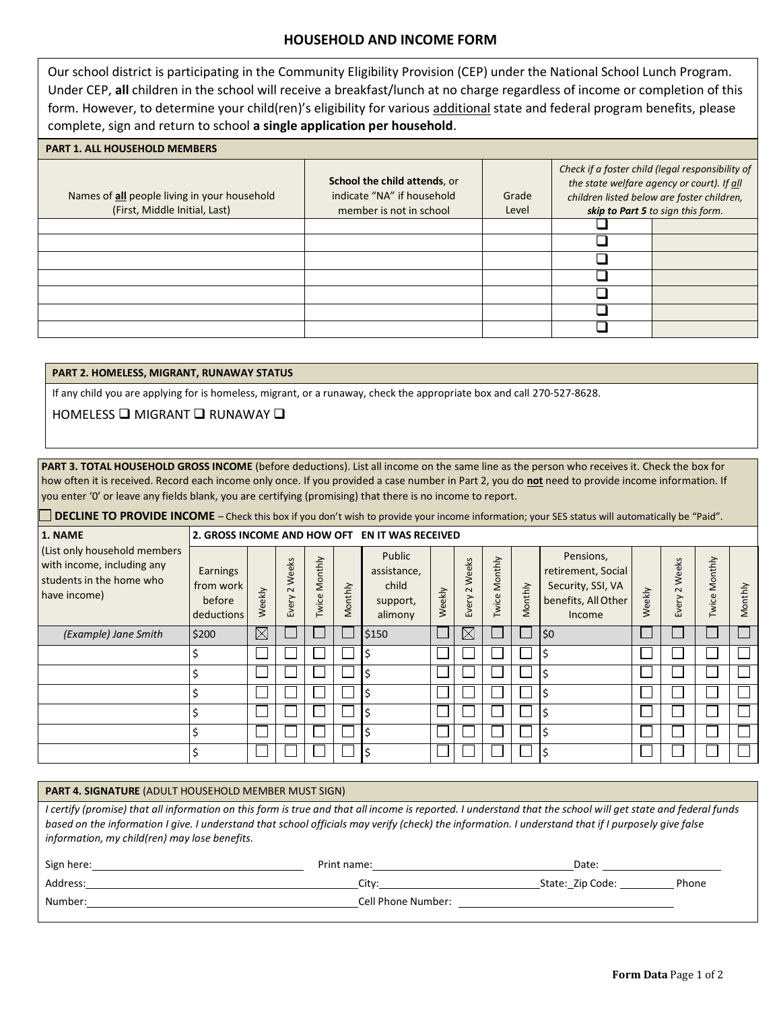## **HOUSEHOLD AND INCOME FORM**

Our school district is participating in the Community Eligibility Provision (CEP) under the National School Lunch Program. Under CEP, **all** children in the school will receive a breakfast/lunch at no charge regardless of income or completion of this form. However, to determine your child(ren)'s eligibility for various additional state and federal program benefits, please complete, sign and return to school **a single application per household**.

#### **PART 1. ALL HOUSEHOLD MEMBERS**

| Names of all people living in your household<br>(First, Middle Initial, Last) | School the child attends, or<br>indicate "NA" if household<br>member is not in school | Grade<br>Level | Check if a foster child (legal responsibility of<br>the state welfare agency or court). If all<br>children listed below are foster children,<br>skip to Part 5 to sign this form. |  |  |  |
|-------------------------------------------------------------------------------|---------------------------------------------------------------------------------------|----------------|-----------------------------------------------------------------------------------------------------------------------------------------------------------------------------------|--|--|--|
|                                                                               |                                                                                       |                |                                                                                                                                                                                   |  |  |  |
|                                                                               |                                                                                       |                |                                                                                                                                                                                   |  |  |  |
|                                                                               |                                                                                       |                |                                                                                                                                                                                   |  |  |  |
|                                                                               |                                                                                       |                |                                                                                                                                                                                   |  |  |  |
|                                                                               |                                                                                       |                |                                                                                                                                                                                   |  |  |  |
|                                                                               |                                                                                       |                |                                                                                                                                                                                   |  |  |  |
|                                                                               |                                                                                       |                |                                                                                                                                                                                   |  |  |  |

#### **PART 2. HOMELESS, MIGRANT, RUNAWAY STATUS**

If any child you are applying for is homeless, migrant, or a runaway, check the appropriate box and call 270-527-8628.

## HOMELESS ❑ MIGRANT ❑ RUNAWAY ❑

**PART 3. TOTAL HOUSEHOLD GROSS INCOME** (before deductions). List all income on the same line as the person who receives it. Check the box for how often it is received. Record each income only once. If you provided a case number in Part 2, you do **not** need to provide income information. If you enter '0' or leave any fields blank, you are certifying (promising) that there is no income to report.

**DECLINE TO PROVIDE INCOME** – Check this box if you don't wish to provide your income information; your SES status will automatically be "Paid".

| 1. NAME                                                                                                | 2. GROSS INCOME AND HOW OFT                   |          |                          |                  |         | <b>EN IT WAS RECEIVED</b>                             |        |                          |                  |         |                                                                                       |        |                          |               |         |
|--------------------------------------------------------------------------------------------------------|-----------------------------------------------|----------|--------------------------|------------------|---------|-------------------------------------------------------|--------|--------------------------|------------------|---------|---------------------------------------------------------------------------------------|--------|--------------------------|---------------|---------|
| (List only household members<br>with income, including any<br>students in the home who<br>have income) | Earnings<br>from work<br>before<br>deductions | Weekly   | Weeks<br>$\sim$<br>Every | Monthly<br>Twice | Monthly | Public<br>assistance,<br>child<br>support,<br>alimony | Weekly | Weeks<br>$\sim$<br>Every | Monthly<br>Twice | Monthly | Pensions,<br>retirement, Social<br>Security, SSI, VA<br>benefits, All Other<br>Income | Weekly | Weeks<br>$\sim$<br>Every | Twice Monthly | Monthly |
| (Example) Jane Smith                                                                                   | \$200                                         | $\times$ |                          |                  |         | \$150                                                 |        | $\times$                 |                  |         | \$0                                                                                   |        |                          |               | H       |
|                                                                                                        |                                               |          |                          |                  |         | Ś                                                     |        |                          |                  |         |                                                                                       |        |                          |               |         |
|                                                                                                        | \$                                            |          |                          |                  |         | Ś                                                     |        |                          |                  |         |                                                                                       |        |                          |               |         |
|                                                                                                        | \$                                            |          |                          |                  |         | Ś                                                     |        |                          |                  |         |                                                                                       |        |                          |               |         |
|                                                                                                        | \$                                            |          |                          |                  |         | Ś                                                     |        |                          |                  |         |                                                                                       |        |                          |               | ιI      |
|                                                                                                        | \$                                            |          |                          |                  |         | Ś                                                     |        |                          |                  |         |                                                                                       |        |                          |               |         |
|                                                                                                        | \$                                            |          |                          |                  |         |                                                       |        |                          |                  |         |                                                                                       |        |                          |               |         |

#### **PART 4. SIGNATURE** (ADULT HOUSEHOLD MEMBER MUST SIGN)

*I certify (promise) that all information on this form is true and that all income is reported. I understand that the school will get state and federal funds based on the information I give. I understand that school officials may verify (check) the information. I understand that if I purposely give false information, my child(ren) may lose benefits.*

| Sign here: | Print name:        | Date:                       |
|------------|--------------------|-----------------------------|
| Address:   | Citv:              | State:_Zip Code: _<br>Phone |
| Number:    | Cell Phone Number: |                             |
|            |                    |                             |